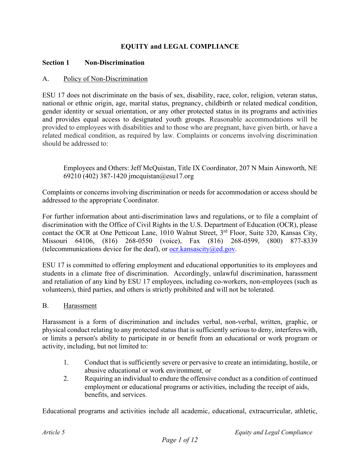# **EQUITY and LEGAL COMPLIANCE**

#### **Section 1 Non-Discrimination**

#### A. Policy of Non-Discrimination

ESU 17 does not discriminate on the basis of sex, disability, race, color, religion, veteran status, national or ethnic origin, age, marital status, pregnancy, childbirth or related medical condition, gender identity or sexual orientation, or any other protected status in its programs and activities and provides equal access to designated youth groups. Reasonable accommodations will be provided to employees with disabilities and to those who are pregnant, have given birth, or have a related medical condition, as required by law. Complaints or concerns involving discrimination should be addressed to:

Employees and Others: Jeff McQuistan, Title IX Coordinator, 207 N Main Ainsworth, NE 69210 (402) 387-1420 jmcquistan@esu17.org

Complaints or concerns involving discrimination or needs for accommodation or access should be addressed to the appropriate Coordinator.

For further information about anti-discrimination laws and regulations, or to file a complaint of discrimination with the Office of Civil Rights in the U.S. Department of Education (OCR), please contact the OCR at One Petticoat Lane, 1010 Walnut Street, 3<sup>rd</sup> Floor, Suite 320, Kansas City, Missouri 64106, (816) 268-0550 (voice), Fax (816) 268-0599, (800) 877-8339 (telecommunications device for the deaf), or ocr.kansascity@ed.gov.

ESU 17 is committed to offering employment and educational opportunities to its employees and students in a climate free of discrimination. Accordingly, unlawful discrimination, harassment and retaliation of any kind by ESU 17 employees, including co-workers, non-employees (such as volunteers), third parties, and others is strictly prohibited and will not be tolerated.

#### B. Harassment

Harassment is a form of discrimination and includes verbal, non-verbal, written, graphic, or physical conduct relating to any protected status that is sufficiently serious to deny, interferes with, or limits a person's ability to participate in or benefit from an educational or work program or activity, including, but not limited to:

- 1. Conduct that is sufficiently severe or pervasive to create an intimidating, hostile, or abusive educational or work environment, or
- 2. Requiring an individual to endure the offensive conduct as a condition of continued employment or educational programs or activities, including the receipt of aids, benefits, and services.

Educational programs and activities include all academic, educational, extracurricular, athletic,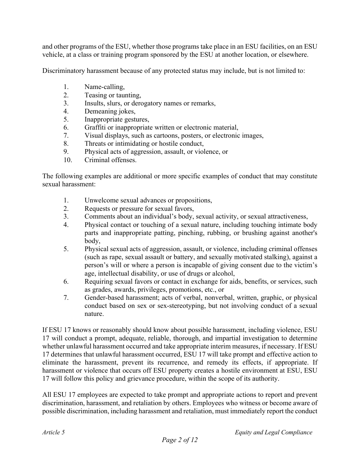and other programs of the ESU, whether those programs take place in an ESU facilities, on an ESU vehicle, at a class or training program sponsored by the ESU at another location, or elsewhere.

Discriminatory harassment because of any protected status may include, but is not limited to:

- 1. Name-calling,
- 2. Teasing or taunting,
- 3. Insults, slurs, or derogatory names or remarks,
- 4. Demeaning jokes,
- 5. Inappropriate gestures,
- 6. Graffiti or inappropriate written or electronic material,
- 7. Visual displays, such as cartoons, posters, or electronic images,
- 8. Threats or intimidating or hostile conduct,
- 9. Physical acts of aggression, assault, or violence, or
- 10. Criminal offenses.

The following examples are additional or more specific examples of conduct that may constitute sexual harassment:

- 1. Unwelcome sexual advances or propositions,
- 2. Requests or pressure for sexual favors,
- 3. Comments about an individual's body, sexual activity, or sexual attractiveness,
- 4. Physical contact or touching of a sexual nature, including touching intimate body parts and inappropriate patting, pinching, rubbing, or brushing against another's body,
- 5. Physical sexual acts of aggression, assault, or violence, including criminal offenses (such as rape, sexual assault or battery, and sexually motivated stalking), against a person's will or where a person is incapable of giving consent due to the victim's age, intellectual disability, or use of drugs or alcohol,
- 6. Requiring sexual favors or contact in exchange for aids, benefits, or services, such as grades, awards, privileges, promotions, etc., or
- 7. Gender-based harassment; acts of verbal, nonverbal, written, graphic, or physical conduct based on sex or sex-stereotyping, but not involving conduct of a sexual nature.

If ESU 17 knows or reasonably should know about possible harassment, including violence, ESU 17 will conduct a prompt, adequate, reliable, thorough, and impartial investigation to determine whether unlawful harassment occurred and take appropriate interim measures, if necessary. If ESU 17 determines that unlawful harassment occurred, ESU 17 will take prompt and effective action to eliminate the harassment, prevent its recurrence, and remedy its effects, if appropriate. If harassment or violence that occurs off ESU property creates a hostile environment at ESU, ESU 17 will follow this policy and grievance procedure, within the scope of its authority.

All ESU 17 employees are expected to take prompt and appropriate actions to report and prevent discrimination, harassment, and retaliation by others. Employees who witness or become aware of possible discrimination, including harassment and retaliation, must immediately report the conduct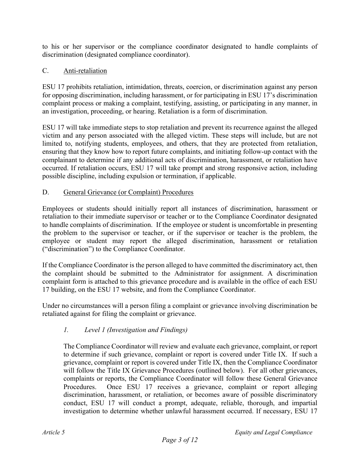to his or her supervisor or the compliance coordinator designated to handle complaints of discrimination (designated compliance coordinator).

# C. Anti-retaliation

ESU 17 prohibits retaliation, intimidation, threats, coercion, or discrimination against any person for opposing discrimination, including harassment, or for participating in ESU 17's discrimination complaint process or making a complaint, testifying, assisting, or participating in any manner, in an investigation, proceeding, or hearing. Retaliation is a form of discrimination.

ESU 17 will take immediate steps to stop retaliation and prevent its recurrence against the alleged victim and any person associated with the alleged victim. These steps will include, but are not limited to, notifying students, employees, and others, that they are protected from retaliation, ensuring that they know how to report future complaints, and initiating follow-up contact with the complainant to determine if any additional acts of discrimination, harassment, or retaliation have occurred. If retaliation occurs, ESU 17 will take prompt and strong responsive action, including possible discipline, including expulsion or termination, if applicable.

## D. General Grievance (or Complaint) Procedures

Employees or students should initially report all instances of discrimination, harassment or retaliation to their immediate supervisor or teacher or to the Compliance Coordinator designated to handle complaints of discrimination. If the employee or student is uncomfortable in presenting the problem to the supervisor or teacher, or if the supervisor or teacher is the problem, the employee or student may report the alleged discrimination, harassment or retaliation ("discrimination") to the Compliance Coordinator.

If the Compliance Coordinator is the person alleged to have committed the discriminatory act, then the complaint should be submitted to the Administrator for assignment. A discrimination complaint form is attached to this grievance procedure and is available in the office of each ESU 17 building, on the ESU 17 website, and from the Compliance Coordinator.

Under no circumstances will a person filing a complaint or grievance involving discrimination be retaliated against for filing the complaint or grievance.

# *1. Level 1 (Investigation and Findings)*

The Compliance Coordinator will review and evaluate each grievance, complaint, or report to determine if such grievance, complaint or report is covered under Title IX. If such a grievance, complaint or report is covered under Title IX, then the Compliance Coordinator will follow the Title IX Grievance Procedures (outlined below). For all other grievances, complaints or reports, the Compliance Coordinator will follow these General Grievance Procedures. Once ESU 17 receives a grievance, complaint or report alleging discrimination, harassment, or retaliation, or becomes aware of possible discriminatory conduct, ESU 17 will conduct a prompt, adequate, reliable, thorough, and impartial investigation to determine whether unlawful harassment occurred. If necessary, ESU 17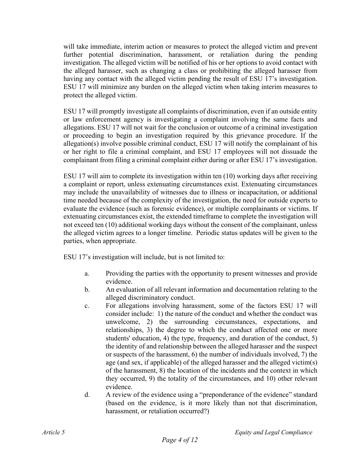will take immediate, interim action or measures to protect the alleged victim and prevent further potential discrimination, harassment, or retaliation during the pending investigation. The alleged victim will be notified of his or her options to avoid contact with the alleged harasser, such as changing a class or prohibiting the alleged harasser from having any contact with the alleged victim pending the result of ESU 17's investigation. ESU 17 will minimize any burden on the alleged victim when taking interim measures to protect the alleged victim.

ESU 17 will promptly investigate all complaints of discrimination, even if an outside entity or law enforcement agency is investigating a complaint involving the same facts and allegations. ESU 17 will not wait for the conclusion or outcome of a criminal investigation or proceeding to begin an investigation required by this grievance procedure. If the allegation(s) involve possible criminal conduct, ESU 17 will notify the complainant of his or her right to file a criminal complaint, and ESU 17 employees will not dissuade the complainant from filing a criminal complaint either during or after ESU 17's investigation.

ESU 17 will aim to complete its investigation within ten (10) working days after receiving a complaint or report, unless extenuating circumstances exist. Extenuating circumstances may include the unavailability of witnesses due to illness or incapacitation, or additional time needed because of the complexity of the investigation, the need for outside experts to evaluate the evidence (such as forensic evidence), or multiple complainants or victims. If extenuating circumstances exist, the extended timeframe to complete the investigation will not exceed ten (10) additional working days without the consent of the complainant, unless the alleged victim agrees to a longer timeline.Periodic status updates will be given to the parties, when appropriate.

ESU 17's investigation will include, but is not limited to:

- a. Providing the parties with the opportunity to present witnesses and provide evidence.
- b. An evaluation of all relevant information and documentation relating to the alleged discriminatory conduct.
- c. For allegations involving harassment, some of the factors ESU 17 will consider include: 1) the nature of the conduct and whether the conduct was unwelcome, 2) the surrounding circumstances, expectations, and relationships, 3) the degree to which the conduct affected one or more students' education, 4) the type, frequency, and duration of the conduct, 5) the identity of and relationship between the alleged harasser and the suspect or suspects of the harassment, 6) the number of individuals involved, 7) the age (and sex, if applicable) of the alleged harasser and the alleged victim(s) of the harassment, 8) the location of the incidents and the context in which they occurred, 9) the totality of the circumstances, and 10) other relevant evidence.
- d. A review of the evidence using a "preponderance of the evidence" standard (based on the evidence, is it more likely than not that discrimination, harassment, or retaliation occurred?)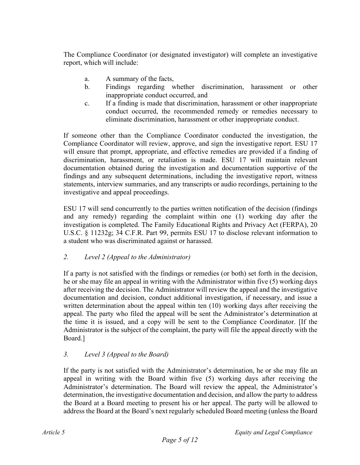The Compliance Coordinator (or designated investigator) will complete an investigative report, which will include:

- a. A summary of the facts,
- b. Findings regarding whether discrimination, harassment or other inappropriate conduct occurred, and
- c. If a finding is made that discrimination, harassment or other inappropriate conduct occurred, the recommended remedy or remedies necessary to eliminate discrimination, harassment or other inappropriate conduct.

If someone other than the Compliance Coordinator conducted the investigation, the Compliance Coordinator will review, approve, and sign the investigative report. ESU 17 will ensure that prompt, appropriate, and effective remedies are provided if a finding of discrimination, harassment, or retaliation is made. ESU 17 will maintain relevant documentation obtained during the investigation and documentation supportive of the findings and any subsequent determinations, including the investigative report, witness statements, interview summaries, and any transcripts or audio recordings, pertaining to the investigative and appeal proceedings.

ESU 17 will send concurrently to the parties written notification of the decision (findings and any remedy) regarding the complaint within one (1) working day after the investigation is completed. The Family Educational Rights and Privacy Act (FERPA), 20 U.S.C. § 11232g; 34 C.F.R. Part 99, permits ESU 17 to disclose relevant information to a student who was discriminated against or harassed.

# *2. Level 2 (Appeal to the Administrator)*

If a party is not satisfied with the findings or remedies (or both) set forth in the decision, he or she may file an appeal in writing with the Administrator within five (5) working days after receiving the decision. The Administrator will review the appeal and the investigative documentation and decision, conduct additional investigation, if necessary, and issue a written determination about the appeal within ten (10) working days after receiving the appeal. The party who filed the appeal will be sent the Administrator's determination at the time it is issued, and a copy will be sent to the Compliance Coordinator. [If the Administrator is the subject of the complaint, the party will file the appeal directly with the Board.]

# *3. Level 3 (Appeal to the Board)*

If the party is not satisfied with the Administrator's determination, he or she may file an appeal in writing with the Board within five (5) working days after receiving the Administrator's determination. The Board will review the appeal, the Administrator's determination, the investigative documentation and decision, and allow the party to address the Board at a Board meeting to present his or her appeal. The party will be allowed to address the Board at the Board's next regularly scheduled Board meeting (unless the Board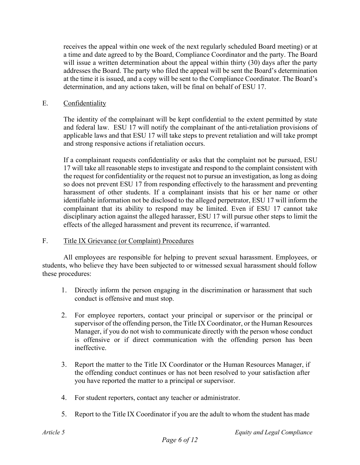receives the appeal within one week of the next regularly scheduled Board meeting) or at a time and date agreed to by the Board, Compliance Coordinator and the party. The Board will issue a written determination about the appeal within thirty (30) days after the party addresses the Board. The party who filed the appeal will be sent the Board's determination at the time it is issued, and a copy will be sent to the Compliance Coordinator. The Board's determination, and any actions taken, will be final on behalf of ESU 17.

### E. Confidentiality

The identity of the complainant will be kept confidential to the extent permitted by state and federal law. ESU 17 will notify the complainant of the anti-retaliation provisions of applicable laws and that ESU 17 will take steps to prevent retaliation and will take prompt and strong responsive actions if retaliation occurs.

If a complainant requests confidentiality or asks that the complaint not be pursued, ESU 17 will take all reasonable steps to investigate and respond to the complaint consistent with the request for confidentiality or the request not to pursue an investigation, as long as doing so does not prevent ESU 17 from responding effectively to the harassment and preventing harassment of other students. If a complainant insists that his or her name or other identifiable information not be disclosed to the alleged perpetrator, ESU 17 will inform the complainant that its ability to respond may be limited. Even if ESU 17 cannot take disciplinary action against the alleged harasser, ESU 17 will pursue other steps to limit the effects of the alleged harassment and prevent its recurrence, if warranted.

## F. Title IX Grievance (or Complaint) Procedures

All employees are responsible for helping to prevent sexual harassment. Employees, or students, who believe they have been subjected to or witnessed sexual harassment should follow these procedures:

- 1. Directly inform the person engaging in the discrimination or harassment that such conduct is offensive and must stop.
- 2. For employee reporters, contact your principal or supervisor or the principal or supervisor of the offending person, the Title IX Coordinator, or the Human Resources Manager, if you do not wish to communicate directly with the person whose conduct is offensive or if direct communication with the offending person has been ineffective.
- 3. Report the matter to the Title IX Coordinator or the Human Resources Manager, if the offending conduct continues or has not been resolved to your satisfaction after you have reported the matter to a principal or supervisor.
- 4. For student reporters, contact any teacher or administrator.
- 5. Report to the Title IX Coordinator if you are the adult to whom the student has made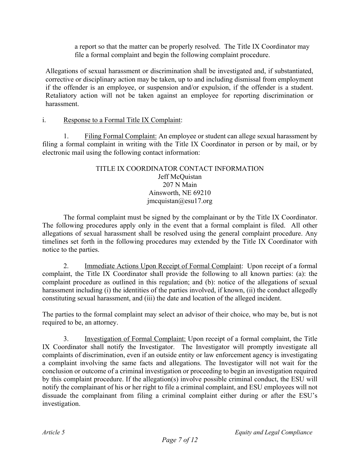a report so that the matter can be properly resolved. The Title IX Coordinator may file a formal complaint and begin the following complaint procedure.

Allegations of sexual harassment or discrimination shall be investigated and, if substantiated, corrective or disciplinary action may be taken, up to and including dismissal from employment if the offender is an employee, or suspension and/or expulsion, if the offender is a student. Retaliatory action will not be taken against an employee for reporting discrimination or harassment.

# i. Response to a Formal Title IX Complaint:

1. Filing Formal Complaint: An employee or student can allege sexual harassment by filing a formal complaint in writing with the Title IX Coordinator in person or by mail, or by electronic mail using the following contact information:

## TITLE IX COORDINATOR CONTACT INFORMATION Jeff McQuistan 207 N Main Ainsworth, NE 69210 jmcquistan@esu17.org

The formal complaint must be signed by the complainant or by the Title IX Coordinator. The following procedures apply only in the event that a formal complaint is filed. All other allegations of sexual harassment shall be resolved using the general complaint procedure. Any timelines set forth in the following procedures may extended by the Title IX Coordinator with notice to the parties.

2. Immediate Actions Upon Receipt of Formal Complaint: Upon receipt of a formal complaint, the Title IX Coordinator shall provide the following to all known parties: (a): the complaint procedure as outlined in this regulation; and (b): notice of the allegations of sexual harassment including (i) the identities of the parties involved, if known, (ii) the conduct allegedly constituting sexual harassment, and (iii) the date and location of the alleged incident.

The parties to the formal complaint may select an advisor of their choice, who may be, but is not required to be, an attorney.

3. Investigation of Formal Complaint: Upon receipt of a formal complaint, the Title IX Coordinator shall notify the Investigator. The Investigator will promptly investigate all complaints of discrimination, even if an outside entity or law enforcement agency is investigating a complaint involving the same facts and allegations. The Investigator will not wait for the conclusion or outcome of a criminal investigation or proceeding to begin an investigation required by this complaint procedure. If the allegation(s) involve possible criminal conduct, the ESU will notify the complainant of his or her right to file a criminal complaint, and ESU employees will not dissuade the complainant from filing a criminal complaint either during or after the ESU's investigation.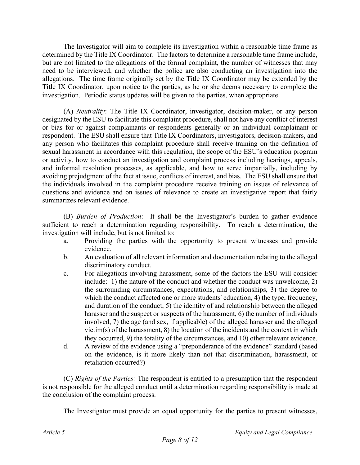The Investigator will aim to complete its investigation within a reasonable time frame as determined by the Title IX Coordinator. The factors to determine a reasonable time frame include, but are not limited to the allegations of the formal complaint, the number of witnesses that may need to be interviewed, and whether the police are also conducting an investigation into the allegations. The time frame originally set by the Title IX Coordinator may be extended by the Title IX Coordinator, upon notice to the parties, as he or she deems necessary to complete the investigation. Periodic status updates will be given to the parties, when appropriate.

(A) *Neutrality*: The Title IX Coordinator, investigator, decision-maker, or any person designated by the ESU to facilitate this complaint procedure, shall not have any conflict of interest or bias for or against complainants or respondents generally or an individual complainant or respondent. The ESU shall ensure that Title IX Coordinators, investigators, decision-makers, and any person who facilitates this complaint procedure shall receive training on the definition of sexual harassment in accordance with this regulation, the scope of the ESU's education program or activity, how to conduct an investigation and complaint process including hearings, appeals, and informal resolution processes, as applicable, and how to serve impartially, including by avoiding prejudgment of the fact at issue, conflicts of interest, and bias. The ESU shall ensure that the individuals involved in the complaint procedure receive training on issues of relevance of questions and evidence and on issues of relevance to create an investigative report that fairly summarizes relevant evidence.

(B) *Burden of Production*: It shall be the Investigator's burden to gather evidence sufficient to reach a determination regarding responsibility. To reach a determination, the investigation will include, but is not limited to:

- a. Providing the parties with the opportunity to present witnesses and provide evidence.
- b. An evaluation of all relevant information and documentation relating to the alleged discriminatory conduct.
- c. For allegations involving harassment, some of the factors the ESU will consider include: 1) the nature of the conduct and whether the conduct was unwelcome, 2) the surrounding circumstances, expectations, and relationships, 3) the degree to which the conduct affected one or more students' education, 4) the type, frequency, and duration of the conduct, 5) the identity of and relationship between the alleged harasser and the suspect or suspects of the harassment, 6) the number of individuals involved, 7) the age (and sex, if applicable) of the alleged harasser and the alleged victim(s) of the harassment, 8) the location of the incidents and the context in which they occurred, 9) the totality of the circumstances, and 10) other relevant evidence.
- d. A review of the evidence using a "preponderance of the evidence" standard (based on the evidence, is it more likely than not that discrimination, harassment, or retaliation occurred?)

(C) *Rights of the Parties:* The respondent is entitled to a presumption that the respondent is not responsible for the alleged conduct until a determination regarding responsibility is made at the conclusion of the complaint process.

The Investigator must provide an equal opportunity for the parties to present witnesses,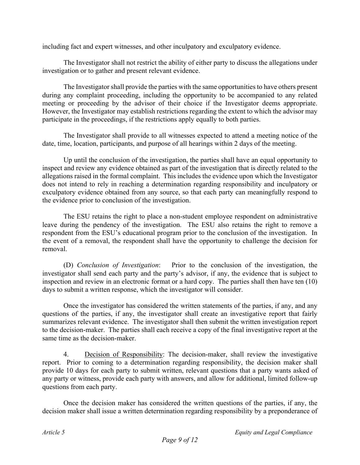including fact and expert witnesses, and other inculpatory and exculpatory evidence.

The Investigator shall not restrict the ability of either party to discuss the allegations under investigation or to gather and present relevant evidence.

The Investigator shall provide the parties with the same opportunities to have others present during any complaint proceeding, including the opportunity to be accompanied to any related meeting or proceeding by the advisor of their choice if the Investigator deems appropriate. However, the Investigator may establish restrictions regarding the extent to which the advisor may participate in the proceedings, if the restrictions apply equally to both parties.

The Investigator shall provide to all witnesses expected to attend a meeting notice of the date, time, location, participants, and purpose of all hearings within 2 days of the meeting.

Up until the conclusion of the investigation, the parties shall have an equal opportunity to inspect and review any evidence obtained as part of the investigation that is directly related to the allegations raised in the formal complaint. This includes the evidence upon which the Investigator does not intend to rely in reaching a determination regarding responsibility and inculpatory or exculpatory evidence obtained from any source, so that each party can meaningfully respond to the evidence prior to conclusion of the investigation.

The ESU retains the right to place a non-student employee respondent on administrative leave during the pendency of the investigation. The ESU also retains the right to remove a respondent from the ESU's educational program prior to the conclusion of the investigation. In the event of a removal, the respondent shall have the opportunity to challenge the decision for removal.

(D) *Conclusion of Investigation*: Prior to the conclusion of the investigation, the investigator shall send each party and the party's advisor, if any, the evidence that is subject to inspection and review in an electronic format or a hard copy. The parties shall then have ten (10) days to submit a written response, which the investigator will consider.

Once the investigator has considered the written statements of the parties, if any, and any questions of the parties, if any, the investigator shall create an investigative report that fairly summarizes relevant evidence. The investigator shall then submit the written investigation report to the decision-maker. The parties shall each receive a copy of the final investigative report at the same time as the decision-maker.

4. Decision of Responsibility: The decision-maker, shall review the investigative report. Prior to coming to a determination regarding responsibility, the decision maker shall provide 10 days for each party to submit written, relevant questions that a party wants asked of any party or witness, provide each party with answers, and allow for additional, limited follow-up questions from each party.

Once the decision maker has considered the written questions of the parties, if any, the decision maker shall issue a written determination regarding responsibility by a preponderance of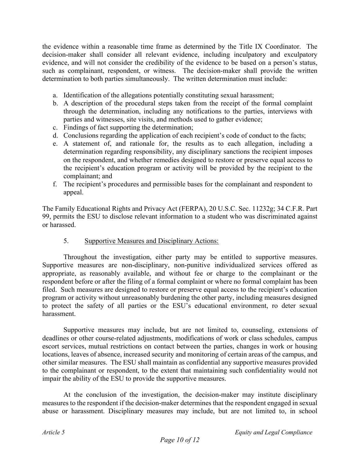the evidence within a reasonable time frame as determined by the Title IX Coordinator. The decision-maker shall consider all relevant evidence, including inculpatory and exculpatory evidence, and will not consider the credibility of the evidence to be based on a person's status, such as complainant, respondent, or witness. The decision-maker shall provide the written determination to both parties simultaneously. The written determination must include:

- a. Identification of the allegations potentially constituting sexual harassment;
- b. A description of the procedural steps taken from the receipt of the formal complaint through the determination, including any notifications to the parties, interviews with parties and witnesses, site visits, and methods used to gather evidence;
- c. Findings of fact supporting the determination;
- d. Conclusions regarding the application of each recipient's code of conduct to the facts;
- e. A statement of, and rationale for, the results as to each allegation, including a determination regarding responsibility, any disciplinary sanctions the recipient imposes on the respondent, and whether remedies designed to restore or preserve equal access to the recipient's education program or activity will be provided by the recipient to the complainant; and
- f. The recipient's procedures and permissible bases for the complainant and respondent to appeal.

The Family Educational Rights and Privacy Act (FERPA), 20 U.S.C. Sec. 11232g; 34 C.F.R. Part 99, permits the ESU to disclose relevant information to a student who was discriminated against or harassed.

## 5. Supportive Measures and Disciplinary Actions:

Throughout the investigation, either party may be entitled to supportive measures. Supportive measures are non-disciplinary, non-punitive individualized services offered as appropriate, as reasonably available, and without fee or charge to the complainant or the respondent before or after the filing of a formal complaint or where no formal complaint has been filed. Such measures are designed to restore or preserve equal access to the recipient's education program or activity without unreasonably burdening the other party, including measures designed to protect the safety of all parties or the ESU's educational environment, ro deter sexual harassment.

Supportive measures may include, but are not limited to, counseling, extensions of deadlines or other course-related adjustments, modifications of work or class schedules, campus escort services, mutual restrictions on contact between the parties, changes in work or housing locations, leaves of absence, increased security and monitoring of certain areas of the campus, and other similar measures. The ESU shall maintain as confidential any supportive measures provided to the complainant or respondent, to the extent that maintaining such confidentiality would not impair the ability of the ESU to provide the supportive measures.

At the conclusion of the investigation, the decision-maker may institute disciplinary measures to the respondent if the decision-maker determines that the respondent engaged in sexual abuse or harassment. Disciplinary measures may include, but are not limited to, in school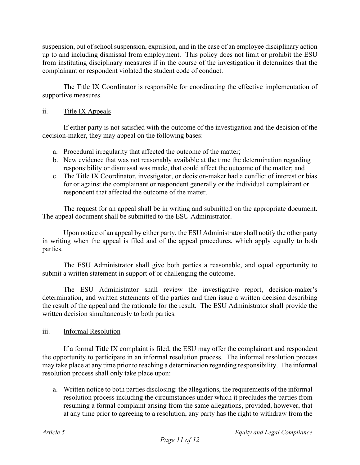suspension, out of school suspension, expulsion, and in the case of an employee disciplinary action up to and including dismissal from employment. This policy does not limit or prohibit the ESU from instituting disciplinary measures if in the course of the investigation it determines that the complainant or respondent violated the student code of conduct.

The Title IX Coordinator is responsible for coordinating the effective implementation of supportive measures.

### ii. Title IX Appeals

If either party is not satisfied with the outcome of the investigation and the decision of the decision-maker, they may appeal on the following bases:

- a. Procedural irregularity that affected the outcome of the matter;
- b. New evidence that was not reasonably available at the time the determination regarding responsibility or dismissal was made, that could affect the outcome of the matter; and
- c. The Title IX Coordinator, investigator, or decision-maker had a conflict of interest or bias for or against the complainant or respondent generally or the individual complainant or respondent that affected the outcome of the matter.

The request for an appeal shall be in writing and submitted on the appropriate document. The appeal document shall be submitted to the ESU Administrator.

Upon notice of an appeal by either party, the ESU Administrator shall notify the other party in writing when the appeal is filed and of the appeal procedures, which apply equally to both parties.

The ESU Administrator shall give both parties a reasonable, and equal opportunity to submit a written statement in support of or challenging the outcome.

The ESU Administrator shall review the investigative report, decision-maker's determination, and written statements of the parties and then issue a written decision describing the result of the appeal and the rationale for the result. The ESU Administrator shall provide the written decision simultaneously to both parties.

## iii. Informal Resolution

If a formal Title IX complaint is filed, the ESU may offer the complainant and respondent the opportunity to participate in an informal resolution process. The informal resolution process may take place at any time prior to reaching a determination regarding responsibility. The informal resolution process shall only take place upon:

a. Written notice to both parties disclosing: the allegations, the requirements of the informal resolution process including the circumstances under which it precludes the parties from resuming a formal complaint arising from the same allegations, provided, however, that at any time prior to agreeing to a resolution, any party has the right to withdraw from the